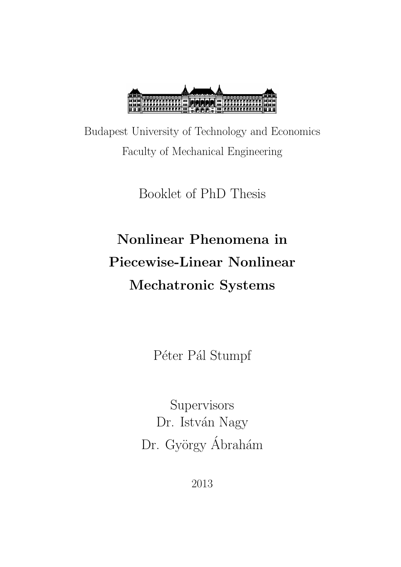

Budapest University of Technology and Economics Faculty of Mechanical Engineering

Booklet of PhD Thesis

# Nonlinear Phenomena in Piecewise-Linear Nonlinear Mechatronic Systems

Péter Pál Stumpf

Supervisors Dr. István Nagy Dr. György Ábrahám

2013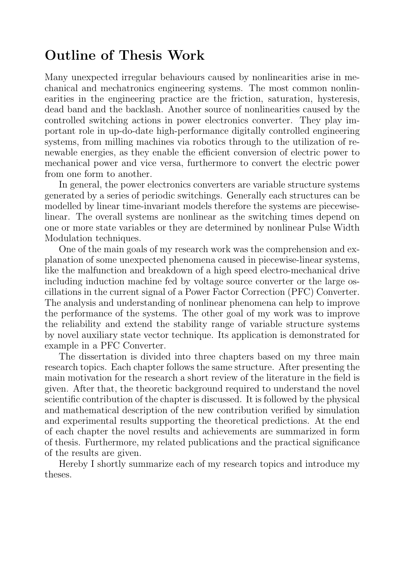# Outline of Thesis Work

Many unexpected irregular behaviours caused by nonlinearities arise in mechanical and mechatronics engineering systems. The most common nonlinearities in the engineering practice are the friction, saturation, hysteresis, dead band and the backlash. Another source of nonlinearities caused by the controlled switching actions in power electronics converter. They play important role in up-do-date high-performance digitally controlled engineering systems, from milling machines via robotics through to the utilization of renewable energies, as they enable the efficient conversion of electric power to mechanical power and vice versa, furthermore to convert the electric power from one form to another.

In general, the power electronics converters are variable structure systems generated by a series of periodic switchings. Generally each structures can be modelled by linear time-invariant models therefore the systems are piecewiselinear. The overall systems are nonlinear as the switching times depend on one or more state variables or they are determined by nonlinear Pulse Width Modulation techniques.

One of the main goals of my research work was the comprehension and explanation of some unexpected phenomena caused in piecewise-linear systems, like the malfunction and breakdown of a high speed electro-mechanical drive including induction machine fed by voltage source converter or the large oscillations in the current signal of a Power Factor Correction (PFC) Converter. The analysis and understanding of nonlinear phenomena can help to improve the performance of the systems. The other goal of my work was to improve the reliability and extend the stability range of variable structure systems by novel auxiliary state vector technique. Its application is demonstrated for example in a PFC Converter.

The dissertation is divided into three chapters based on my three main research topics. Each chapter follows the same structure. After presenting the main motivation for the research a short review of the literature in the field is given. After that, the theoretic background required to understand the novel scientific contribution of the chapter is discussed. It is followed by the physical and mathematical description of the new contribution verified by simulation and experimental results supporting the theoretical predictions. At the end of each chapter the novel results and achievements are summarized in form of thesis. Furthermore, my related publications and the practical significance of the results are given.

Hereby I shortly summarize each of my research topics and introduce my theses.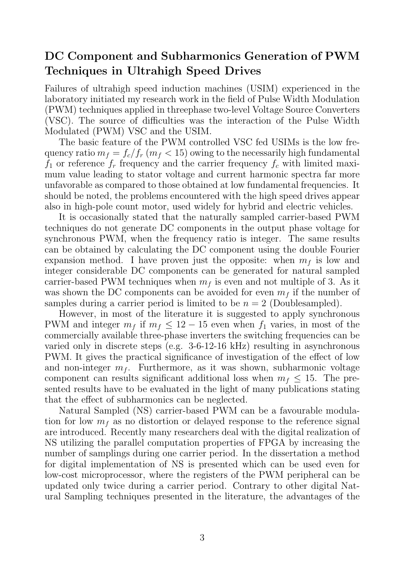## DC Component and Subharmonics Generation of PWM Techniques in Ultrahigh Speed Drives

Failures of ultrahigh speed induction machines (USIM) experienced in the laboratory initiated my research work in the field of Pulse Width Modulation (PWM) techniques applied in threephase two-level Voltage Source Converters (VSC). The source of difficulties was the interaction of the Pulse Width Modulated (PWM) VSC and the USIM.

The basic feature of the PWM controlled VSC fed USIMs is the low frequency ratio  $m_f = f_c/f_r$   $(m_f < 15)$  owing to the necessarily high fundamental  $f_1$  or reference  $f_r$  frequency and the carrier frequency  $f_c$  with limited maximum value leading to stator voltage and current harmonic spectra far more unfavorable as compared to those obtained at low fundamental frequencies. It should be noted, the problems encountered with the high speed drives appear also in high-pole count motor, used widely for hybrid and electric vehicles.

It is occasionally stated that the naturally sampled carrier-based PWM techniques do not generate DC components in the output phase voltage for synchronous PWM, when the frequency ratio is integer. The same results can be obtained by calculating the DC component using the double Fourier expansion method. I have proven just the opposite: when  $m_f$  is low and integer considerable DC components can be generated for natural sampled carrier-based PWM techniques when  $m<sub>f</sub>$  is even and not multiple of 3. As it was shown the DC components can be avoided for even  $m_f$  if the number of samples during a carrier period is limited to be  $n = 2$  (Doublesampled).

However, in most of the literature it is suggested to apply synchronous PWM and integer  $m_f$  if  $m_f \leq 12 - 15$  even when  $f_1$  varies, in most of the commercially available three-phase inverters the switching frequencies can be varied only in discrete steps (e.g. 3-6-12-16 kHz) resulting in asynchronous PWM. It gives the practical significance of investigation of the effect of low and non-integer  $m_f$ . Furthermore, as it was shown, subharmonic voltage component can results significant additional loss when  $m_f \leq 15$ . The presented results have to be evaluated in the light of many publications stating that the effect of subharmonics can be neglected.

Natural Sampled (NS) carrier-based PWM can be a favourable modulation for low  $m<sub>f</sub>$  as no distortion or delayed response to the reference signal are introduced. Recently many researchers deal with the digital realization of NS utilizing the parallel computation properties of FPGA by increasing the number of samplings during one carrier period. In the dissertation a method for digital implementation of NS is presented which can be used even for low-cost microprocessor, where the registers of the PWM peripheral can be updated only twice during a carrier period. Contrary to other digital Natural Sampling techniques presented in the literature, the advantages of the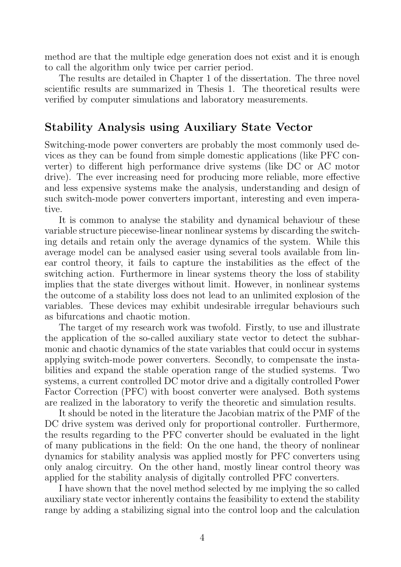method are that the multiple edge generation does not exist and it is enough to call the algorithm only twice per carrier period.

The results are detailed in Chapter 1 of the dissertation. The three novel scientific results are summarized in Thesis 1. The theoretical results were verified by computer simulations and laboratory measurements.

## Stability Analysis using Auxiliary State Vector

Switching-mode power converters are probably the most commonly used devices as they can be found from simple domestic applications (like PFC converter) to different high performance drive systems (like DC or AC motor drive). The ever increasing need for producing more reliable, more effective and less expensive systems make the analysis, understanding and design of such switch-mode power converters important, interesting and even imperative.

It is common to analyse the stability and dynamical behaviour of these variable structure piecewise-linear nonlinear systems by discarding the switching details and retain only the average dynamics of the system. While this average model can be analysed easier using several tools available from linear control theory, it fails to capture the instabilities as the effect of the switching action. Furthermore in linear systems theory the loss of stability implies that the state diverges without limit. However, in nonlinear systems the outcome of a stability loss does not lead to an unlimited explosion of the variables. These devices may exhibit undesirable irregular behaviours such as bifurcations and chaotic motion.

The target of my research work was twofold. Firstly, to use and illustrate the application of the so-called auxiliary state vector to detect the subharmonic and chaotic dynamics of the state variables that could occur in systems applying switch-mode power converters. Secondly, to compensate the instabilities and expand the stable operation range of the studied systems. Two systems, a current controlled DC motor drive and a digitally controlled Power Factor Correction (PFC) with boost converter were analysed. Both systems are realized in the laboratory to verify the theoretic and simulation results.

It should be noted in the literature the Jacobian matrix of the PMF of the DC drive system was derived only for proportional controller. Furthermore, the results regarding to the PFC converter should be evaluated in the light of many publications in the field: On the one hand, the theory of nonlinear dynamics for stability analysis was applied mostly for PFC converters using only analog circuitry. On the other hand, mostly linear control theory was applied for the stability analysis of digitally controlled PFC converters.

I have shown that the novel method selected by me implying the so called auxiliary state vector inherently contains the feasibility to extend the stability range by adding a stabilizing signal into the control loop and the calculation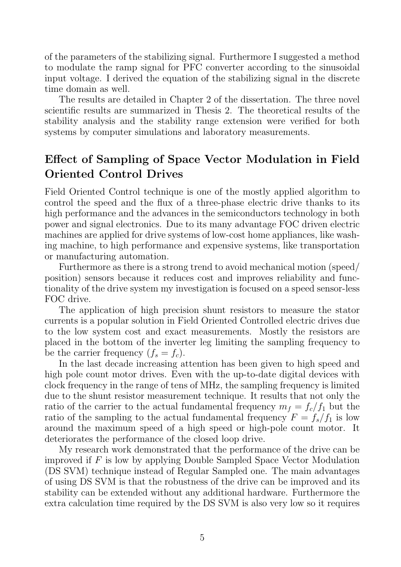of the parameters of the stabilizing signal. Furthermore I suggested a method to modulate the ramp signal for PFC converter according to the sinusoidal input voltage. I derived the equation of the stabilizing signal in the discrete time domain as well.

The results are detailed in Chapter 2 of the dissertation. The three novel scientific results are summarized in Thesis 2. The theoretical results of the stability analysis and the stability range extension were verified for both systems by computer simulations and laboratory measurements.

## Effect of Sampling of Space Vector Modulation in Field Oriented Control Drives

Field Oriented Control technique is one of the mostly applied algorithm to control the speed and the flux of a three-phase electric drive thanks to its high performance and the advances in the semiconductors technology in both power and signal electronics. Due to its many advantage FOC driven electric machines are applied for drive systems of low-cost home appliances, like washing machine, to high performance and expensive systems, like transportation or manufacturing automation.

Furthermore as there is a strong trend to avoid mechanical motion (speed/ position) sensors because it reduces cost and improves reliability and functionality of the drive system my investigation is focused on a speed sensor-less FOC drive.

The application of high precision shunt resistors to measure the stator currents is a popular solution in Field Oriented Controlled electric drives due to the low system cost and exact measurements. Mostly the resistors are placed in the bottom of the inverter leg limiting the sampling frequency to be the carrier frequency  $(f_s = f_c)$ .

In the last decade increasing attention has been given to high speed and high pole count motor drives. Even with the up-to-date digital devices with clock frequency in the range of tens of MHz, the sampling frequency is limited due to the shunt resistor measurement technique. It results that not only the ratio of the carrier to the actual fundamental frequency  $m_f = f_c/f_1$  but the ratio of the sampling to the actual fundamental frequency  $F = f_s/f_1$  is low around the maximum speed of a high speed or high-pole count motor. It deteriorates the performance of the closed loop drive.

My research work demonstrated that the performance of the drive can be improved if  $F$  is low by applying Double Sampled Space Vector Modulation (DS SVM) technique instead of Regular Sampled one. The main advantages of using DS SVM is that the robustness of the drive can be improved and its stability can be extended without any additional hardware. Furthermore the extra calculation time required by the DS SVM is also very low so it requires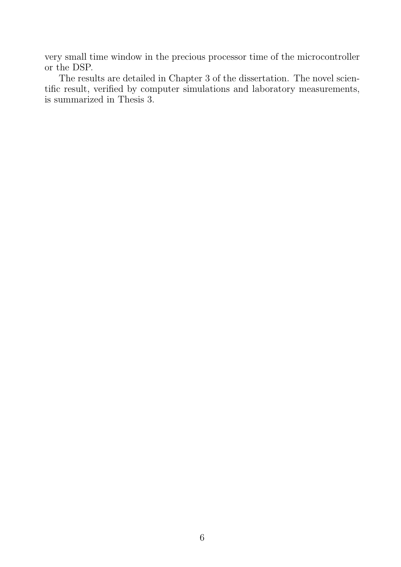very small time window in the precious processor time of the microcontroller or the DSP.

The results are detailed in Chapter 3 of the dissertation. The novel scientific result, verified by computer simulations and laboratory measurements, is summarized in Thesis 3.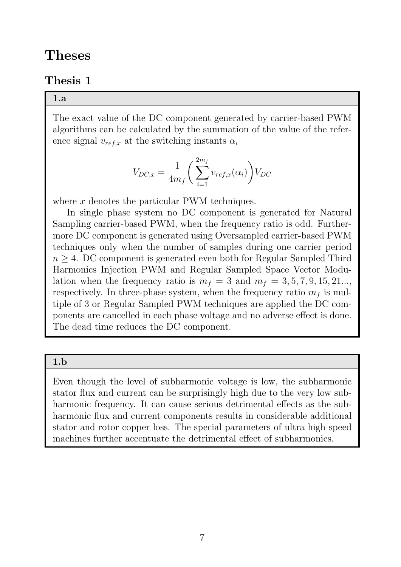## Theses

### Thesis 1

#### 1.a

The exact value of the DC component generated by carrier-based PWM algorithms can be calculated by the summation of the value of the reference signal  $v_{ref,x}$  at the switching instants  $\alpha_i$ 

$$
V_{DC,x} = \frac{1}{4m_f} \left( \sum_{i=1}^{2m_f} v_{ref,x}(\alpha_i) \right) V_{DC}
$$

where  $x$  denotes the particular PWM techniques.

In single phase system no DC component is generated for Natural Sampling carrier-based PWM, when the frequency ratio is odd. Furthermore DC component is generated using Oversampled carrier-based PWM techniques only when the number of samples during one carrier period  $n \geq 4$ . DC component is generated even both for Regular Sampled Third Harmonics Injection PWM and Regular Sampled Space Vector Modulation when the frequency ratio is  $m_f = 3$  and  $m_f = 3, 5, 7, 9, 15, 21...$ respectively. In three-phase system, when the frequency ratio  $m<sub>f</sub>$  is multiple of 3 or Regular Sampled PWM techniques are applied the DC components are cancelled in each phase voltage and no adverse effect is done. The dead time reduces the DC component.

#### 1.b

Even though the level of subharmonic voltage is low, the subharmonic stator flux and current can be surprisingly high due to the very low subharmonic frequency. It can cause serious detrimental effects as the subharmonic flux and current components results in considerable additional stator and rotor copper loss. The special parameters of ultra high speed machines further accentuate the detrimental effect of subharmonics.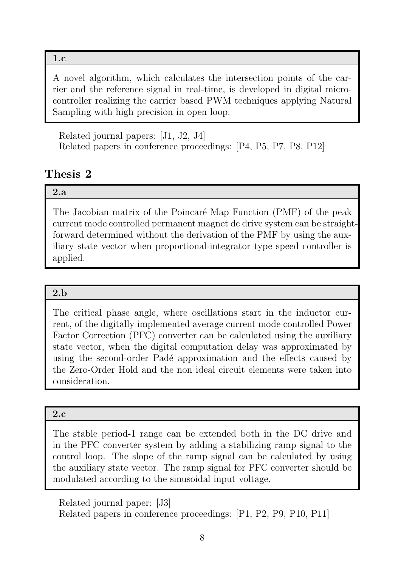#### 1.c

A novel algorithm, which calculates the intersection points of the carrier and the reference signal in real-time, is developed in digital microcontroller realizing the carrier based PWM techniques applying Natural Sampling with high precision in open loop.

Related journal papers: [J1, J2, J4] Related papers in conference proceedings: [P4, P5, P7, P8, P12]

## Thesis 2

#### 2.a

The Jacobian matrix of the Poincaré Map Function (PMF) of the peak current mode controlled permanent magnet dc drive system can be straightforward determined without the derivation of the PMF by using the auxiliary state vector when proportional-integrator type speed controller is applied.

#### 2.b

The critical phase angle, where oscillations start in the inductor current, of the digitally implemented average current mode controlled Power Factor Correction (PFC) converter can be calculated using the auxiliary state vector, when the digital computation delay was approximated by using the second-order Padé approximation and the effects caused by the Zero-Order Hold and the non ideal circuit elements were taken into consideration.

#### 2.c

The stable period-1 range can be extended both in the DC drive and in the PFC converter system by adding a stabilizing ramp signal to the control loop. The slope of the ramp signal can be calculated by using the auxiliary state vector. The ramp signal for PFC converter should be modulated according to the sinusoidal input voltage.

Related journal paper: [J3] Related papers in conference proceedings: [P1, P2, P9, P10, P11]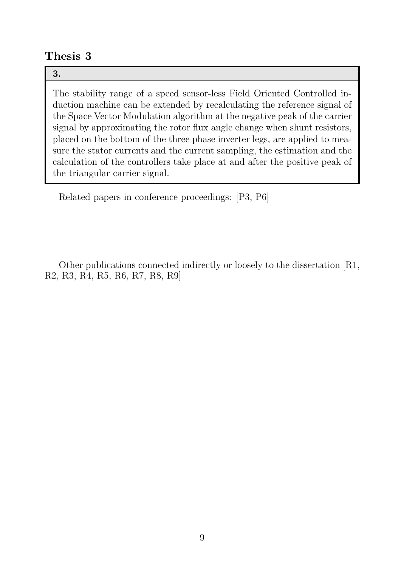### Thesis 3

#### 3.

The stability range of a speed sensor-less Field Oriented Controlled induction machine can be extended by recalculating the reference signal of the Space Vector Modulation algorithm at the negative peak of the carrier signal by approximating the rotor flux angle change when shunt resistors, placed on the bottom of the three phase inverter legs, are applied to measure the stator currents and the current sampling, the estimation and the calculation of the controllers take place at and after the positive peak of the triangular carrier signal.

Related papers in conference proceedings: [P3, P6]

Other publications connected indirectly or loosely to the dissertation [R1, R2, R3, R4, R5, R6, R7, R8, R9]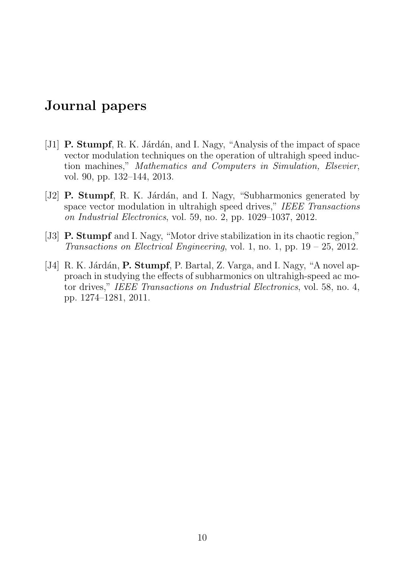## Journal papers

- [J1] **P. Stumpf**, R. K. Járdán, and I. Nagy, "Analysis of the impact of space vector modulation techniques on the operation of ultrahigh speed induction machines," Mathematics and Computers in Simulation, Elsevier, vol. 90, pp. 132–144, 2013.
- [J2] **P. Stumpf**, R. K. Járdán, and I. Nagy, "Subharmonics generated by space vector modulation in ultrahigh speed drives," IEEE Transactions on Industrial Electronics, vol. 59, no. 2, pp. 1029–1037, 2012.
- [J3] P. Stumpf and I. Nagy, "Motor drive stabilization in its chaotic region," Transactions on Electrical Engineering, vol. 1, no. 1, pp.  $19 - 25$ , 2012.
- [J4] R. K. Járdán, **P. Stumpf**, P. Bartal, Z. Varga, and I. Nagy, "A novel approach in studying the effects of subharmonics on ultrahigh-speed ac motor drives," IEEE Transactions on Industrial Electronics, vol. 58, no. 4, pp. 1274–1281, 2011.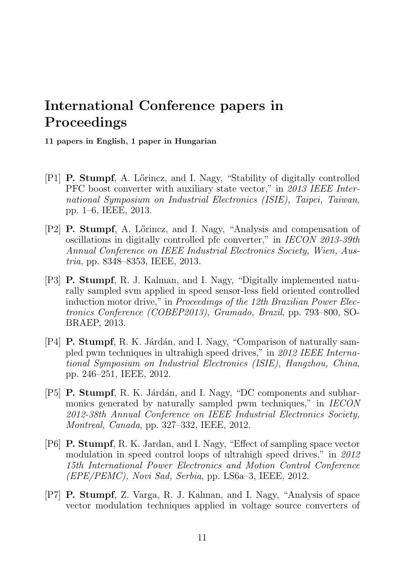# International Conference papers in Proceedings

11 papers in English, 1 paper in Hungarian

- [P1] **P. Stumpf**, A. Lőrincz, and I. Nagy, "Stability of digitally controlled PFC boost converter with auxiliary state vector," in 2013 IEEE International Symposium on Industrial Electronics (ISIE), Taipei, Taiwan, pp. 1–6, IEEE, 2013.
- [P2] **P. Stumpf**, A. Lőrincz, and I. Nagy, "Analysis and compensation of oscillations in digitally controlled pfc converter," in IECON 2013-39th Annual Conference on IEEE Industrial Electronics Society, Wien, Austria, pp. 8348–8353, IEEE, 2013.
- [P3] P. Stumpf, R. J. Kalman, and I. Nagy, "Digitally implemented naturally sampled svm applied in speed sensor-less field oriented controlled induction motor drive," in Proceedings of the 12th Brazilian Power Electronics Conference (COBEP2013), Gramado, Brazil, pp. 793–800, SO-BRAEP, 2013.
- [P4] **P. Stumpf**, R. K. Járdán, and I. Nagy, "Comparison of naturally sampled pwm techniques in ultrahigh speed drives," in 2012 IEEE International Symposium on Industrial Electronics (ISIE), Hangzhou, China, pp. 246–251, IEEE, 2012.
- [P5] P. Stumpf, R. K. Járdán, and I. Nagy, "DC components and subharmonics generated by naturally sampled pwm techniques," in IECON 2012-38th Annual Conference on IEEE Industrial Electronics Society, Montreal, Canada, pp. 327–332, IEEE, 2012.
- [P6] P. Stumpf, R. K. Jardan, and I. Nagy, "Effect of sampling space vector modulation in speed control loops of ultrahigh speed drives," in 2012 15th International Power Electronics and Motion Control Conference (EPE/PEMC), Novi Sad, Serbia, pp. LS6a–3, IEEE, 2012.
- [P7] P. Stumpf, Z. Varga, R. J. Kalman, and I. Nagy, "Analysis of space vector modulation techniques applied in voltage source converters of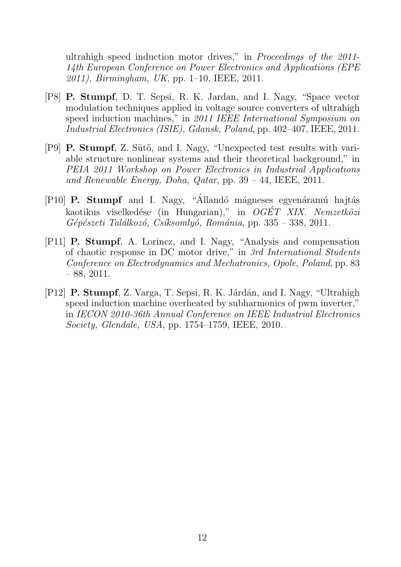ultrahigh speed induction motor drives," in Proceedings of the 2011- 14th European Conference on Power Electronics and Applications (EPE  $2011$ , Birmingham, UK, pp. 1–10, IEEE, 2011.

- [P8] P. Stumpf, D. T. Sepsi, R. K. Jardan, and I. Nagy, "Space vector modulation techniques applied in voltage source converters of ultrahigh speed induction machines," in 2011 IEEE International Symposium on Industrial Electronics (ISIE), Gdansk, Poland, pp. 402–407, IEEE, 2011.
- [P9] **P. Stumpf**, Z. Sütő, and I. Nagy, "Unexpected test results with variable structure nonlinear systems and their theoretical background," in PEIA 2011 Workshop on Power Electronics in Industrial Applications and Renewable Energy, Doha, Qatar, pp.  $39 - 44$ , IEEE, 2011.
- [P10] P. Stumpf and I. Nagy, "Állandó mágneses egyenáramú hajtás kaotikus viselkedése (in Hungarian)," in  $OGET$  XIX. Nemzetközi Gépészeti Találkozó, Csíksomlyó, Románia, pp. 335 – 338, 2011.
- [P11] P. Stumpf, A. Lorincz, and I. Nagy, "Analysis and compensation of chaotic response in DC motor drive," in 3rd International Students Conference on Electrodynamics and Mechatronics, Opole, Poland, pp. 83  $-88, 2011.$
- [P12] P. Stumpf, Z. Varga, T. Sepsi, R. K. Járdán, and I. Nagy, "Ultrahigh" speed induction machine overheated by subharmonics of pwm inverter," in IECON 2010-36th Annual Conference on IEEE Industrial Electronics Society, Glendale, USA, pp. 1754–1759, IEEE, 2010.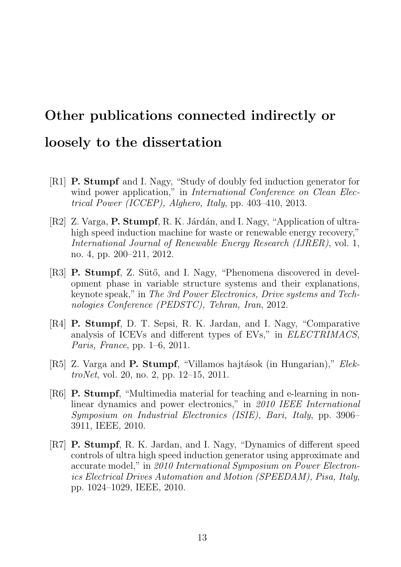# Other publications connected indirectly or loosely to the dissertation

- [R1] P. Stumpf and I. Nagy, "Study of doubly fed induction generator for wind power application," in *International Conference on Clean Elec*trical Power (ICCEP), Alghero, Italy, pp. 403–410, 2013.
- [R2] Z. Varga, **P. Stumpf**, R. K. Járdán, and I. Nagy, "Application of ultrahigh speed induction machine for waste or renewable energy recovery," International Journal of Renewable Energy Research (IJRER), vol. 1, no. 4, pp. 200–211, 2012.
- [R3] **P. Stumpf**, Z. Sütő, and I. Nagy, "Phenomena discovered in development phase in variable structure systems and their explanations, keynote speak," in The 3rd Power Electronics, Drive systems and Technologies Conference (PEDSTC), Tehran, Iran, 2012.
- [R4] P. Stumpf, D. T. Sepsi, R. K. Jardan, and I. Nagy, "Comparative analysis of ICEVs and different types of EVs," in ELECTRIMACS, Paris, France, pp. 1–6, 2011.
- [R5] Z. Varga and **P. Stumpf**, "Villamos hajtások (in Hungarian)," ElektroNet, vol. 20, no. 2, pp. 12–15, 2011.
- [R6] P. Stumpf, "Multimedia material for teaching and e-learning in nonlinear dynamics and power electronics," in 2010 IEEE International Symposium on Industrial Electronics (ISIE), Bari, Italy, pp. 3906– 3911, IEEE, 2010.
- [R7] P. Stumpf, R. K. Jardan, and I. Nagy, "Dynamics of different speed controls of ultra high speed induction generator using approximate and accurate model," in 2010 International Symposium on Power Electronics Electrical Drives Automation and Motion (SPEEDAM), Pisa, Italy, pp. 1024–1029, IEEE, 2010.